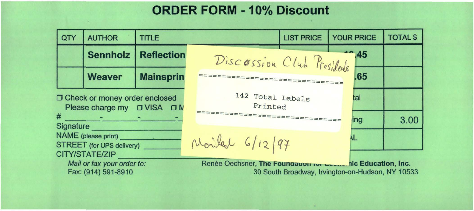## **ORDER FORM - 10% Discount**

| QTY                                                                 | <b>AUTHOR</b>   | <b>TITLE</b>                                                                                                     |                            | <b>LIST PRICE</b> | <b>YOUR PRICE</b> | <b>TOTAL \$</b> |
|---------------------------------------------------------------------|-----------------|------------------------------------------------------------------------------------------------------------------|----------------------------|-------------------|-------------------|-----------------|
|                                                                     | <b>Sennholz</b> | <b>Reflection</b>                                                                                                | Discossion Club Presidents |                   | $-45$             |                 |
|                                                                     | <b>Weaver</b>   | <b>Mainsprin</b>                                                                                                 |                            |                   | .65               |                 |
| O Check or money order enclosed<br>Please charge my □ VISA □ N      |                 | 142 Total Labels<br>Printed                                                                                      |                            | tal               |                   |                 |
| #<br>Signature                                                      |                 | <b>Ing</b>                                                                                                       |                            |                   | 3.00              |                 |
| NAME (please print)<br>STREET (for UPS delivery) ___                |                 | Monifed 6/12/97                                                                                                  |                            |                   |                   |                 |
| CITY/STATE/ZIP<br>Mail or fax your order to:<br>Fax: (914) 591-8910 |                 | Renée Oechsner, The Foundation ion Louis nic Education, Inc.<br>30 South Broadway, Irvington-on-Hudson, NY 10533 |                            |                   |                   |                 |